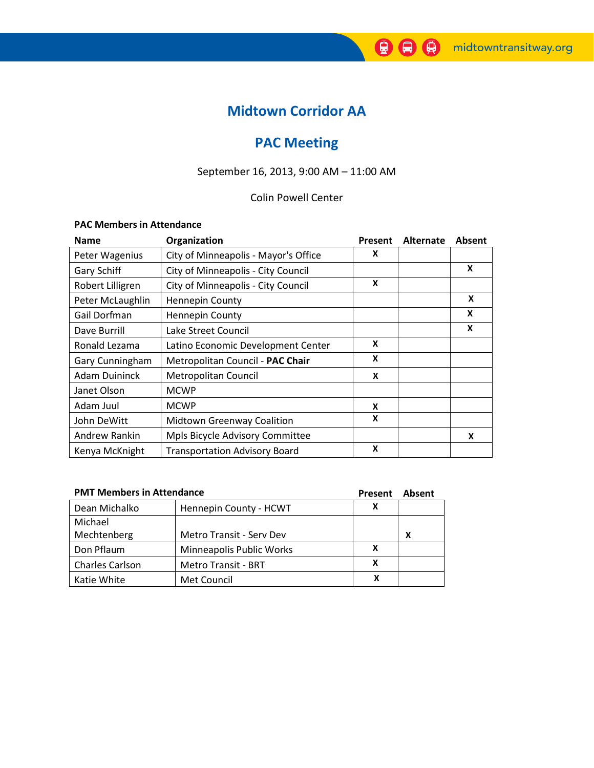# Midtown Corridor AA

# PAC Meeting

# September 16, 2013, 9:00 AM – 11:00 AM

## Colin Powell Center

### PAC Members in Attendance

| <b>Name</b>          | Organization                         | Present | Alternate | Absent           |
|----------------------|--------------------------------------|---------|-----------|------------------|
| Peter Wagenius       | City of Minneapolis - Mayor's Office | X       |           |                  |
| Gary Schiff          | City of Minneapolis - City Council   |         |           | X                |
| Robert Lilligren     | City of Minneapolis - City Council   | X       |           |                  |
| Peter McLaughlin     | <b>Hennepin County</b>               |         |           | $\boldsymbol{x}$ |
| Gail Dorfman         | <b>Hennepin County</b>               |         |           | X                |
| Dave Burrill         | Lake Street Council                  |         |           | X                |
| Ronald Lezama        | Latino Economic Development Center   | X       |           |                  |
| Gary Cunningham      | Metropolitan Council - PAC Chair     | X       |           |                  |
| <b>Adam Duininck</b> | Metropolitan Council                 | X       |           |                  |
| Janet Olson          | <b>MCWP</b>                          |         |           |                  |
| Adam Juul            | <b>MCWP</b>                          | X       |           |                  |
| John DeWitt          | <b>Midtown Greenway Coalition</b>    | X       |           |                  |
| Andrew Rankin        | Mpls Bicycle Advisory Committee      |         |           | X                |
| Kenya McKnight       | <b>Transportation Advisory Board</b> | X       |           |                  |

| <b>PMT Members in Attendance</b> |                            | <b>Present</b> | Absent |
|----------------------------------|----------------------------|----------------|--------|
| Dean Michalko                    | Hennepin County - HCWT     | х              |        |
| Michael                          |                            |                |        |
| Mechtenberg                      | Metro Transit - Serv Dev   |                | X      |
| Don Pflaum                       | Minneapolis Public Works   | x              |        |
| <b>Charles Carlson</b>           | <b>Metro Transit - BRT</b> | x              |        |
| Katie White                      | Met Council                |                |        |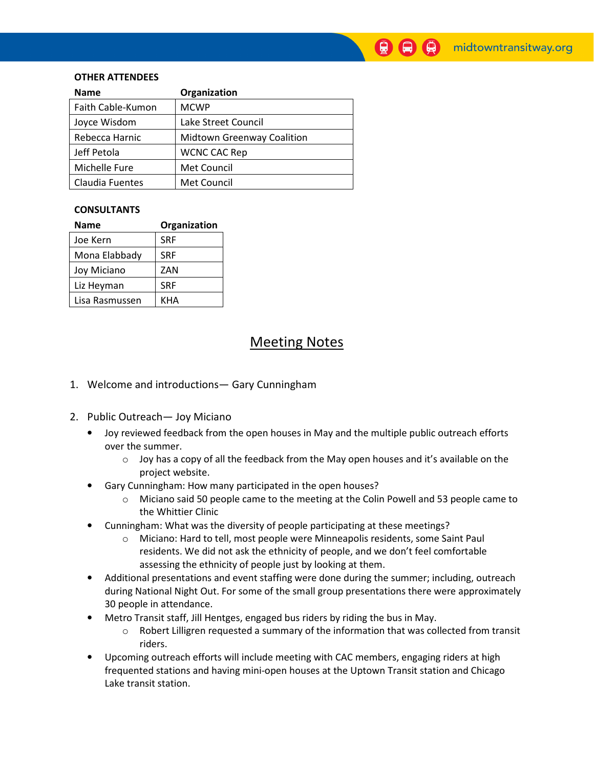### OTHER ATTENDEES

| <b>Name</b>       | Organization                      |  |
|-------------------|-----------------------------------|--|
| Faith Cable-Kumon | <b>MCWP</b>                       |  |
| Joyce Wisdom      | Lake Street Council               |  |
| Rebecca Harnic    | <b>Midtown Greenway Coalition</b> |  |
| Jeff Petola       | <b>WCNC CAC Rep</b>               |  |
| Michelle Fure     | Met Council                       |  |
| Claudia Fuentes   | Met Council                       |  |

#### **CONSULTANTS**

| Name           | Organization |  |  |
|----------------|--------------|--|--|
| Joe Kern       | <b>SRF</b>   |  |  |
| Mona Elabbady  | <b>SRF</b>   |  |  |
| Joy Miciano    | ZAN          |  |  |
| Liz Heyman     | <b>SRF</b>   |  |  |
| Lisa Rasmussen | KHA          |  |  |

## Meeting Notes

- 1. Welcome and introductions— Gary Cunningham
- 2. Public Outreach— Joy Miciano
	- Joy reviewed feedback from the open houses in May and the multiple public outreach efforts over the summer.
		- $\circ$  Joy has a copy of all the feedback from the May open houses and it's available on the project website.
	- Gary Cunningham: How many participated in the open houses?
		- o Miciano said 50 people came to the meeting at the Colin Powell and 53 people came to the Whittier Clinic
	- Cunningham: What was the diversity of people participating at these meetings?
		- o Miciano: Hard to tell, most people were Minneapolis residents, some Saint Paul residents. We did not ask the ethnicity of people, and we don't feel comfortable assessing the ethnicity of people just by looking at them.
	- Additional presentations and event staffing were done during the summer; including, outreach during National Night Out. For some of the small group presentations there were approximately 30 people in attendance.
	- Metro Transit staff, Jill Hentges, engaged bus riders by riding the bus in May.
		- $\circ$  Robert Lilligren requested a summary of the information that was collected from transit riders.
	- Upcoming outreach efforts will include meeting with CAC members, engaging riders at high frequented stations and having mini-open houses at the Uptown Transit station and Chicago Lake transit station.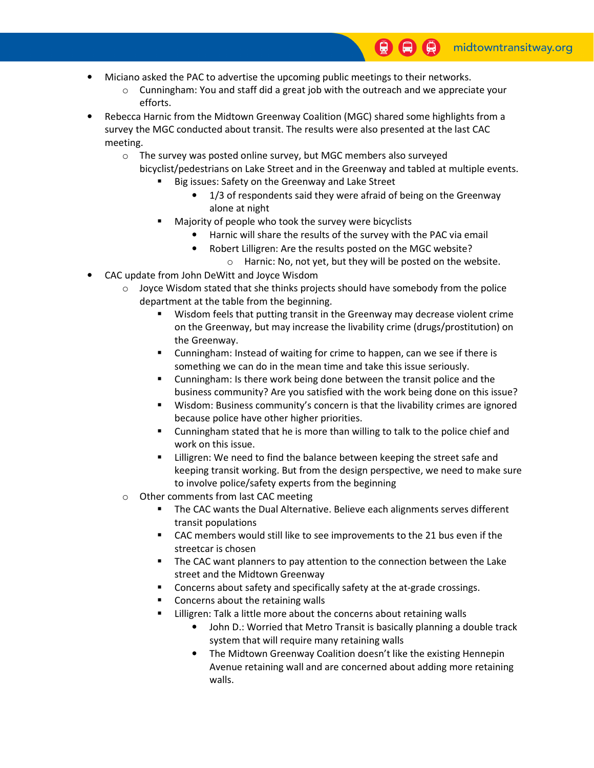- Miciano asked the PAC to advertise the upcoming public meetings to their networks.
	- $\circ$  Cunningham: You and staff did a great job with the outreach and we appreciate your efforts.
- Rebecca Harnic from the Midtown Greenway Coalition (MGC) shared some highlights from a survey the MGC conducted about transit. The results were also presented at the last CAC meeting.
	- o The survey was posted online survey, but MGC members also surveyed
		- bicyclist/pedestrians on Lake Street and in the Greenway and tabled at multiple events.
			- Big issues: Safety on the Greenway and Lake Street
				- 1/3 of respondents said they were afraid of being on the Greenway alone at night
			- Majority of people who took the survey were bicyclists
				- Harnic will share the results of the survey with the PAC via email
				- Robert Lilligren: Are the results posted on the MGC website?
					- o Harnic: No, not yet, but they will be posted on the website.
- CAC update from John DeWitt and Joyce Wisdom
	- $\circ$  Joyce Wisdom stated that she thinks projects should have somebody from the police department at the table from the beginning.
		- Wisdom feels that putting transit in the Greenway may decrease violent crime on the Greenway, but may increase the livability crime (drugs/prostitution) on the Greenway.
		- Cunningham: Instead of waiting for crime to happen, can we see if there is something we can do in the mean time and take this issue seriously.
		- Cunningham: Is there work being done between the transit police and the business community? Are you satisfied with the work being done on this issue?
		- Wisdom: Business community's concern is that the livability crimes are ignored because police have other higher priorities.
		- **EXECUTE 10** Cunningham stated that he is more than willing to talk to the police chief and work on this issue.
		- Lilligren: We need to find the balance between keeping the street safe and keeping transit working. But from the design perspective, we need to make sure to involve police/safety experts from the beginning
	- o Other comments from last CAC meeting
		- The CAC wants the Dual Alternative. Believe each alignments serves different transit populations
		- CAC members would still like to see improvements to the 21 bus even if the streetcar is chosen
		- The CAC want planners to pay attention to the connection between the Lake street and the Midtown Greenway
		- Concerns about safety and specifically safety at the at-grade crossings.
		- Concerns about the retaining walls
		- Lilligren: Talk a little more about the concerns about retaining walls
			- John D.: Worried that Metro Transit is basically planning a double track system that will require many retaining walls
			- The Midtown Greenway Coalition doesn't like the existing Hennepin Avenue retaining wall and are concerned about adding more retaining walls.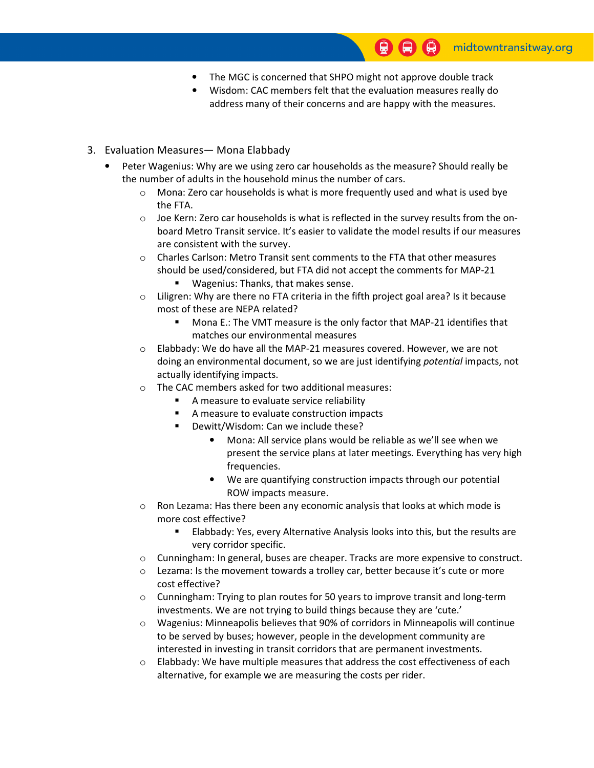- The MGC is concerned that SHPO might not approve double track
- Wisdom: CAC members felt that the evaluation measures really do address many of their concerns and are happy with the measures.

### 3. Evaluation Measures— Mona Elabbady

- Peter Wagenius: Why are we using zero car households as the measure? Should really be the number of adults in the household minus the number of cars.
	- o Mona: Zero car households is what is more frequently used and what is used bye the FTA.
	- $\circ$  Joe Kern: Zero car households is what is reflected in the survey results from the onboard Metro Transit service. It's easier to validate the model results if our measures are consistent with the survey.
	- $\circ$  Charles Carlson: Metro Transit sent comments to the FTA that other measures should be used/considered, but FTA did not accept the comments for MAP-21
		- **Wagenius: Thanks, that makes sense.**
	- $\circ$  Liligren: Why are there no FTA criteria in the fifth project goal area? Is it because most of these are NEPA related?
		- Mona E.: The VMT measure is the only factor that MAP-21 identifies that matches our environmental measures
	- o Elabbady: We do have all the MAP-21 measures covered. However, we are not doing an environmental document, so we are just identifying potential impacts, not actually identifying impacts.
	- o The CAC members asked for two additional measures:
		- A measure to evaluate service reliability
		- A measure to evaluate construction impacts
		- **Dewitt/Wisdom: Can we include these?** 
			- Mona: All service plans would be reliable as we'll see when we present the service plans at later meetings. Everything has very high frequencies.
			- We are quantifying construction impacts through our potential ROW impacts measure.
	- o Ron Lezama: Has there been any economic analysis that looks at which mode is more cost effective?
		- Elabbady: Yes, every Alternative Analysis looks into this, but the results are very corridor specific.
	- o Cunningham: In general, buses are cheaper. Tracks are more expensive to construct.
	- $\circ$  Lezama: Is the movement towards a trolley car, better because it's cute or more cost effective?
	- $\circ$  Cunningham: Trying to plan routes for 50 years to improve transit and long-term investments. We are not trying to build things because they are 'cute.'
	- $\circ$  Wagenius: Minneapolis believes that 90% of corridors in Minneapolis will continue to be served by buses; however, people in the development community are interested in investing in transit corridors that are permanent investments.
	- $\circ$  Elabbady: We have multiple measures that address the cost effectiveness of each alternative, for example we are measuring the costs per rider.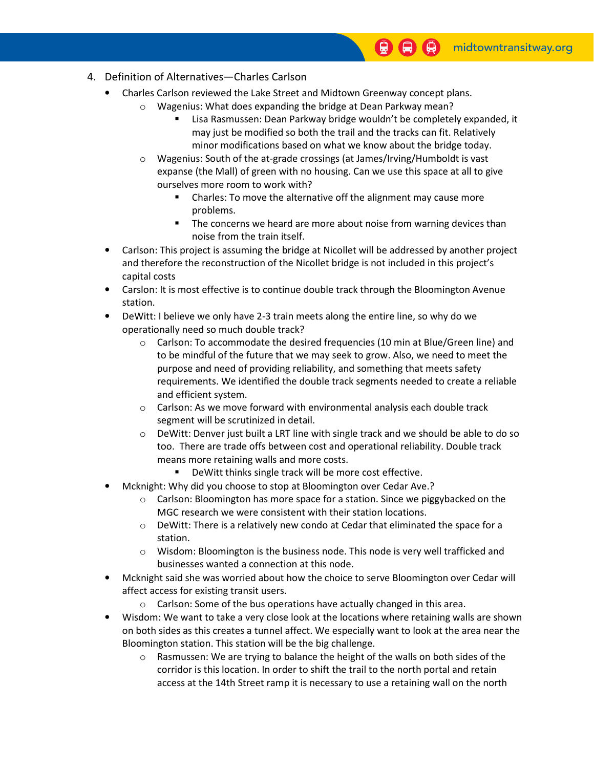- 4. Definition of Alternatives—Charles Carlson
	- Charles Carlson reviewed the Lake Street and Midtown Greenway concept plans.
		- o Wagenius: What does expanding the bridge at Dean Parkway mean?
			- Lisa Rasmussen: Dean Parkway bridge wouldn't be completely expanded, it may just be modified so both the trail and the tracks can fit. Relatively minor modifications based on what we know about the bridge today.
		- o Wagenius: South of the at-grade crossings (at James/Irving/Humboldt is vast expanse (the Mall) of green with no housing. Can we use this space at all to give ourselves more room to work with?
			- **EXTER** Charles: To move the alternative off the alignment may cause more problems.
			- **The concerns we heard are more about noise from warning devices than** noise from the train itself.
	- Carlson: This project is assuming the bridge at Nicollet will be addressed by another project and therefore the reconstruction of the Nicollet bridge is not included in this project's capital costs
	- Carslon: It is most effective is to continue double track through the Bloomington Avenue station.
	- DeWitt: I believe we only have 2-3 train meets along the entire line, so why do we operationally need so much double track?
		- $\circ$  Carlson: To accommodate the desired frequencies (10 min at Blue/Green line) and to be mindful of the future that we may seek to grow. Also, we need to meet the purpose and need of providing reliability, and something that meets safety requirements. We identified the double track segments needed to create a reliable and efficient system.
		- $\circ$  Carlson: As we move forward with environmental analysis each double track segment will be scrutinized in detail.
		- $\circ$  DeWitt: Denver just built a LRT line with single track and we should be able to do so too. There are trade offs between cost and operational reliability. Double track means more retaining walls and more costs.
			- DeWitt thinks single track will be more cost effective.
	- Mcknight: Why did you choose to stop at Bloomington over Cedar Ave.?
		- $\circ$  Carlson: Bloomington has more space for a station. Since we piggybacked on the MGC research we were consistent with their station locations.
		- $\circ$  DeWitt: There is a relatively new condo at Cedar that eliminated the space for a station.
		- o Wisdom: Bloomington is the business node. This node is very well trafficked and businesses wanted a connection at this node.
	- Mcknight said she was worried about how the choice to serve Bloomington over Cedar will affect access for existing transit users.
		- o Carlson: Some of the bus operations have actually changed in this area.
	- Wisdom: We want to take a very close look at the locations where retaining walls are shown on both sides as this creates a tunnel affect. We especially want to look at the area near the Bloomington station. This station will be the big challenge.
		- $\circ$  Rasmussen: We are trying to balance the height of the walls on both sides of the corridor is this location. In order to shift the trail to the north portal and retain access at the 14th Street ramp it is necessary to use a retaining wall on the north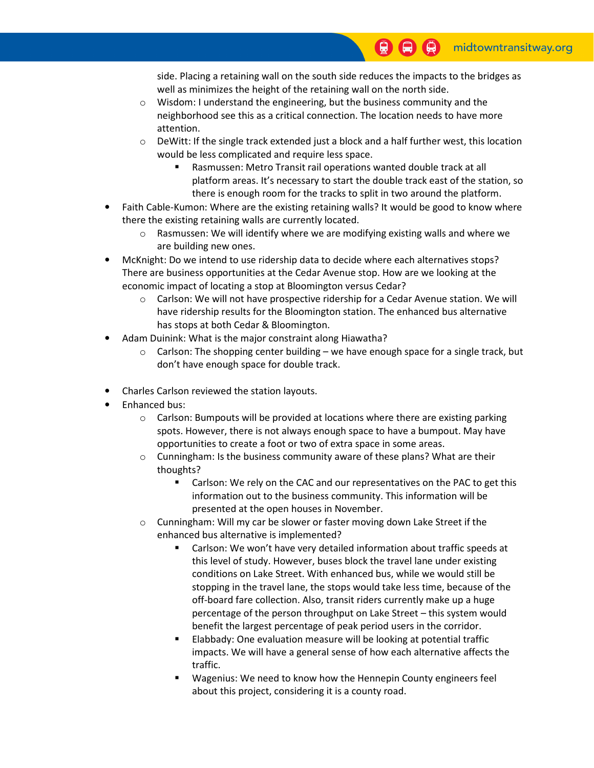side. Placing a retaining wall on the south side reduces the impacts to the bridges as well as minimizes the height of the retaining wall on the north side.

- o Wisdom: I understand the engineering, but the business community and the neighborhood see this as a critical connection. The location needs to have more attention.
- $\circ$  DeWitt: If the single track extended just a block and a half further west, this location would be less complicated and require less space.
	- Rasmussen: Metro Transit rail operations wanted double track at all platform areas. It's necessary to start the double track east of the station, so there is enough room for the tracks to split in two around the platform.
- Faith Cable-Kumon: Where are the existing retaining walls? It would be good to know where there the existing retaining walls are currently located.
	- $\circ$  Rasmussen: We will identify where we are modifying existing walls and where we are building new ones.
- McKnight: Do we intend to use ridership data to decide where each alternatives stops? There are business opportunities at the Cedar Avenue stop. How are we looking at the economic impact of locating a stop at Bloomington versus Cedar?
	- $\circ$  Carlson: We will not have prospective ridership for a Cedar Avenue station. We will have ridership results for the Bloomington station. The enhanced bus alternative has stops at both Cedar & Bloomington.
- Adam Duinink: What is the major constraint along Hiawatha?
	- $\circ$  Carlson: The shopping center building we have enough space for a single track, but don't have enough space for double track.
- Charles Carlson reviewed the station layouts.
- Enhanced bus:
	- $\circ$  Carlson: Bumpouts will be provided at locations where there are existing parking spots. However, there is not always enough space to have a bumpout. May have opportunities to create a foot or two of extra space in some areas.
	- $\circ$  Cunningham: Is the business community aware of these plans? What are their thoughts?
		- **EXTER** Carlson: We rely on the CAC and our representatives on the PAC to get this information out to the business community. This information will be presented at the open houses in November.
	- o Cunningham: Will my car be slower or faster moving down Lake Street if the enhanced bus alternative is implemented?
		- Carlson: We won't have very detailed information about traffic speeds at this level of study. However, buses block the travel lane under existing conditions on Lake Street. With enhanced bus, while we would still be stopping in the travel lane, the stops would take less time, because of the off-board fare collection. Also, transit riders currently make up a huge percentage of the person throughput on Lake Street – this system would benefit the largest percentage of peak period users in the corridor.
		- Elabbady: One evaluation measure will be looking at potential traffic impacts. We will have a general sense of how each alternative affects the traffic.
		- Wagenius: We need to know how the Hennepin County engineers feel about this project, considering it is a county road.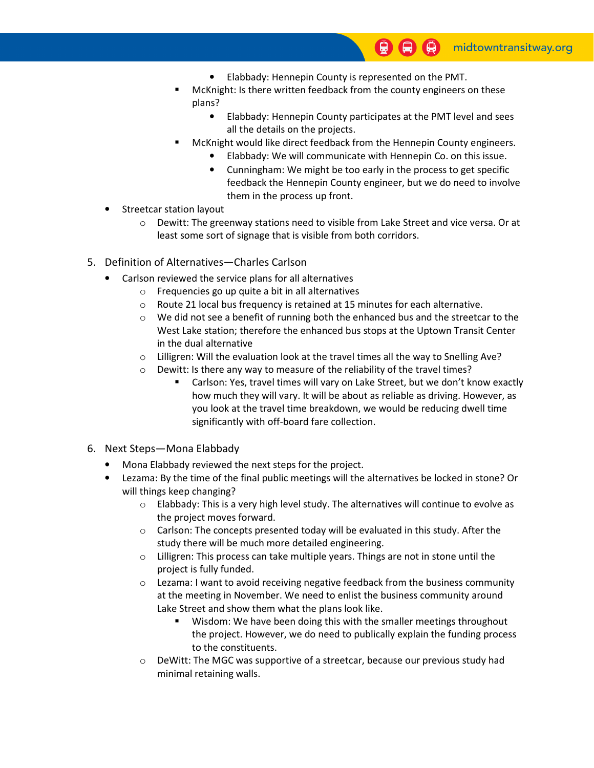- Elabbady: Hennepin County is represented on the PMT.
- McKnight: Is there written feedback from the county engineers on these plans?
	- Elabbady: Hennepin County participates at the PMT level and sees all the details on the projects.
- McKnight would like direct feedback from the Hennepin County engineers.
	- Elabbady: We will communicate with Hennepin Co. on this issue.
	- Cunningham: We might be too early in the process to get specific feedback the Hennepin County engineer, but we do need to involve them in the process up front.
- Streetcar station layout
	- o Dewitt: The greenway stations need to visible from Lake Street and vice versa. Or at least some sort of signage that is visible from both corridors.
- 5. Definition of Alternatives—Charles Carlson
	- Carlson reviewed the service plans for all alternatives
		- o Frequencies go up quite a bit in all alternatives
		- o Route 21 local bus frequency is retained at 15 minutes for each alternative.
		- $\circ$  We did not see a benefit of running both the enhanced bus and the streetcar to the West Lake station; therefore the enhanced bus stops at the Uptown Transit Center in the dual alternative
		- o Lilligren: Will the evaluation look at the travel times all the way to Snelling Ave?
		- o Dewitt: Is there any way to measure of the reliability of the travel times?
			- Carlson: Yes, travel times will vary on Lake Street, but we don't know exactly how much they will vary. It will be about as reliable as driving. However, as you look at the travel time breakdown, we would be reducing dwell time significantly with off-board fare collection.
- 6. Next Steps—Mona Elabbady
	- Mona Elabbady reviewed the next steps for the project.
	- Lezama: By the time of the final public meetings will the alternatives be locked in stone? Or will things keep changing?
		- $\circ$  Elabbady: This is a very high level study. The alternatives will continue to evolve as the project moves forward.
		- o Carlson: The concepts presented today will be evaluated in this study. After the study there will be much more detailed engineering.
		- o Lilligren: This process can take multiple years. Things are not in stone until the project is fully funded.
		- o Lezama: I want to avoid receiving negative feedback from the business community at the meeting in November. We need to enlist the business community around Lake Street and show them what the plans look like.
			- Wisdom: We have been doing this with the smaller meetings throughout the project. However, we do need to publically explain the funding process to the constituents.
		- o DeWitt: The MGC was supportive of a streetcar, because our previous study had minimal retaining walls.